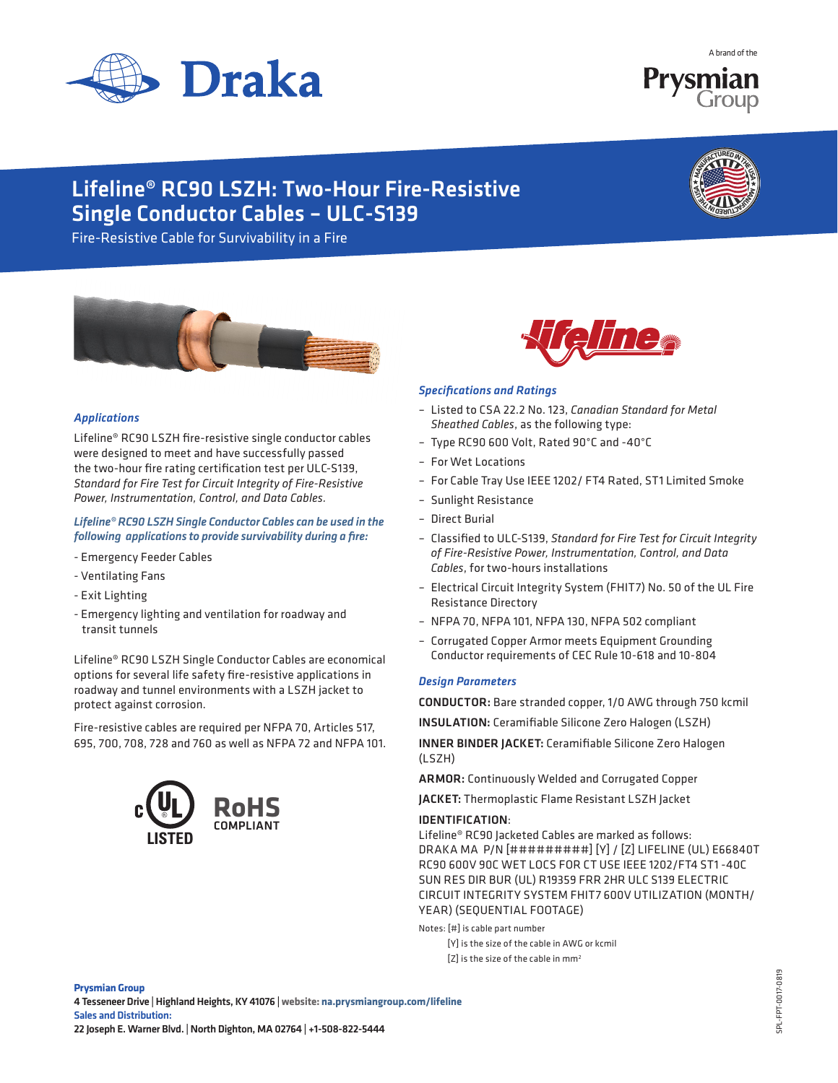

A brand of the



# Lifeline® RC90 LSZH: Two-Hour Fire-Resistive Single Conductor Cables – ULC-S139



Fire-Resistive Cable for Survivability in a Fire



### *Applications*

Lifeline® RC90 LSZH fire-resistive single conductor cables were designed to meet and have successfully passed the two-hour fire rating certification test per ULC-S139, *Standard for Fire Test for Circuit Integrity of Fire-Resistive Power, Instrumentation, Control, and Data Cables.* 

*Lifeline® RC90 LSZH Single Conductor Cables can be used in the following applications to provide survivability during a fire:*

- Emergency Feeder Cables
- Ventilating Fans
- Exit Lighting
- Emergency lighting and ventilation for roadway and transit tunnels

Lifeline® RC90 LSZH Single Conductor Cables are economical options for several life safety fire-resistive applications in roadway and tunnel environments with a LSZH jacket to protect against corrosion.

Fire-resistive cables are required per NFPA 70, Articles 517, 695, 700, 708, 728 and 760 as well as NFPA 72 and NFPA 101.





#### *Specifications and Ratings*

- Listed to CSA 22.2 No. 123, *Canadian Standard for Metal Sheathed Cables*, as the following type:
- Type RC90 600 Volt, Rated 90°C and -40°C
- For Wet Locations
- For Cable Tray Use IEEE 1202/ FT4 Rated, ST1 Limited Smoke
- Sunlight Resistance
- Direct Burial
- Classified to ULC-S139, *Standard for Fire Test for Circuit Integrity of Fire-Resistive Power, Instrumentation, Control, and Data Cables*, for two-hours installations
- Electrical Circuit Integrity System (FHIT7) No. 50 of the UL Fire Resistance Directory
- NFPA 70, NFPA 101, NFPA 130, NFPA 502 compliant
- Corrugated Copper Armor meets Equipment Grounding Conductor requirements of CEC Rule 10-618 and 10-804

#### *Design Parameters*

CONDUCTOR: Bare stranded copper, 1/0 AWG through 750 kcmil

INSULATION: Ceramifiable Silicone Zero Halogen (LSZH)

INNER BINDER JACKET: Ceramifiable Silicone Zero Halogen (LSZH)

ARMOR: Continuously Welded and Corrugated Copper

JACKET: Thermoplastic Flame Resistant LSZH Jacket

#### IDENTIFICATION:

Lifeline® RC90 Jacketed Cables are marked as follows: DRAKA MA P/N [#########] [Y] / [Z] LIFELINE (UL) E66840T RC90 600V 90C WET LOCS FOR CT USE IEEE 1202/FT4 ST1 -40C SUN RES DIR BUR (UL) R19359 FRR 2HR ULC S139 ELECTRIC CIRCUIT INTEGRITY SYSTEM FHIT7 600V UTILIZATION (MONTH/ YEAR) (SEQUENTIAL FOOTAGE)

Notes: [#] is cable part number

 [Y] is the size of the cable in AWG or kcmil  $[Z]$  is the size of the cable in mm<sup>2</sup>